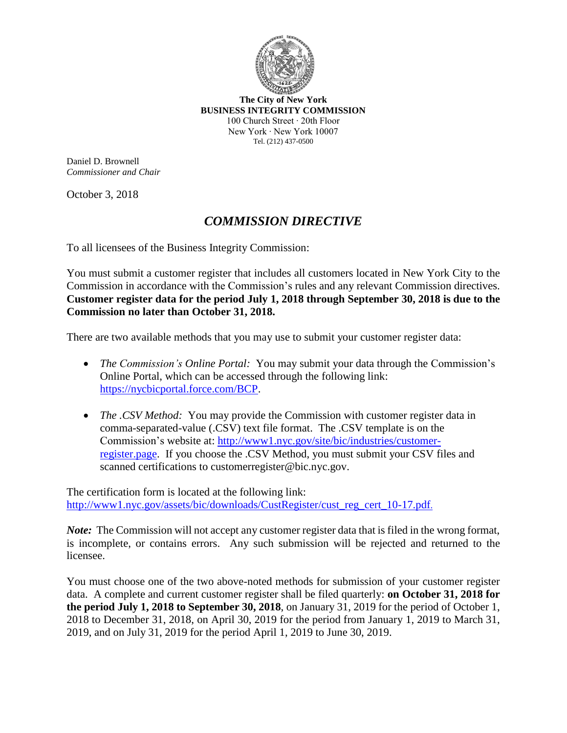

**The City of New York BUSINESS INTEGRITY COMMISSION** 100 Church Street ∙ 20th Floor New York ∙ New York 10007 Tel. (212) 437-0500

Daniel D. Brownell *Commissioner and Chair*

October 3, 2018

## *COMMISSION DIRECTIVE*

To all licensees of the Business Integrity Commission:

You must submit a customer register that includes all customers located in New York City to the Commission in accordance with the Commission's rules and any relevant Commission directives. **Customer register data for the period July 1, 2018 through September 30, 2018 is due to the Commission no later than October 31, 2018.**

There are two available methods that you may use to submit your customer register data:

- *The Commission's Online Portal:* You may submit your data through the Commission's Online Portal, which can be accessed through the following link: [https://nycbicportal.force.com/BCP.](https://nycbicportal.force.com/BCP)
- *The .CSV Method:* You may provide the Commission with customer register data in comma-separated-value (.CSV) text file format. The .CSV template is on the Commission's website at: http://www1.nyc.gov/site/bic/industries/customerregister.page. If you choose the .CSV Method, you must submit your CSV files and scanned certifications to customerregister@bic.nyc.gov.

The certification form is located at the following link: http://www1.nyc.gov/assets/bic/downloads/CustRegister/cust\_reg\_cert\_10-17.pdf.

*Note*: The Commission will not accept any customer register data that is filed in the wrong format, is incomplete, or contains errors. Any such submission will be rejected and returned to the licensee.

You must choose one of the two above-noted methods for submission of your customer register data. A complete and current customer register shall be filed quarterly: **on October 31, 2018 for the period July 1, 2018 to September 30, 2018**, on January 31, 2019 for the period of October 1, 2018 to December 31, 2018, on April 30, 2019 for the period from January 1, 2019 to March 31, 2019, and on July 31, 2019 for the period April 1, 2019 to June 30, 2019.